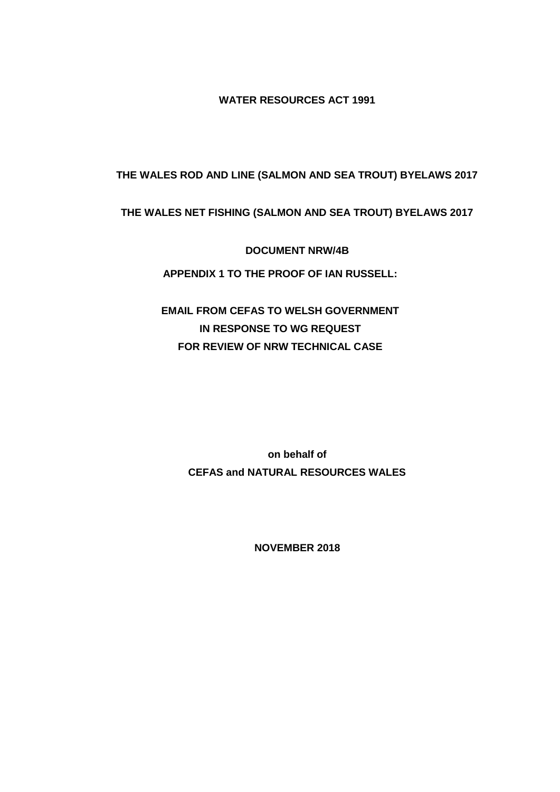**WATER RESOURCES ACT 1991**

# **THE WALES ROD AND LINE (SALMON AND SEA TROUT) BYELAWS 2017**

## **THE WALES NET FISHING (SALMON AND SEA TROUT) BYELAWS 2017**

**DOCUMENT NRW/4B**

**APPENDIX 1 TO THE PROOF OF IAN RUSSELL:**

**EMAIL FROM CEFAS TO WELSH GOVERNMENT IN RESPONSE TO WG REQUEST FOR REVIEW OF NRW TECHNICAL CASE**

> **on behalf of CEFAS and NATURAL RESOURCES WALES**

> > **NOVEMBER 2018**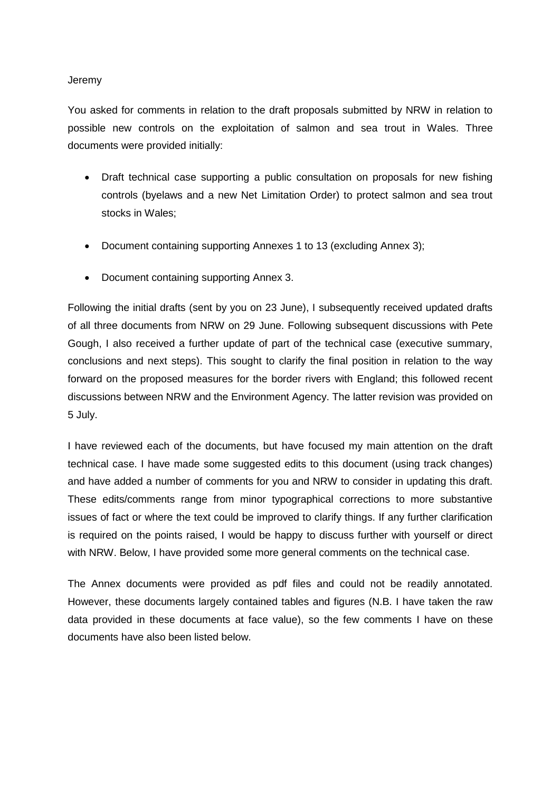#### Jeremy

You asked for comments in relation to the draft proposals submitted by NRW in relation to possible new controls on the exploitation of salmon and sea trout in Wales. Three documents were provided initially:

- Draft technical case supporting a public consultation on proposals for new fishing controls (byelaws and a new Net Limitation Order) to protect salmon and sea trout stocks in Wales;
- Document containing supporting Annexes 1 to 13 (excluding Annex 3);
- Document containing supporting Annex 3.

Following the initial drafts (sent by you on 23 June), I subsequently received updated drafts of all three documents from NRW on 29 June. Following subsequent discussions with Pete Gough, I also received a further update of part of the technical case (executive summary, conclusions and next steps). This sought to clarify the final position in relation to the way forward on the proposed measures for the border rivers with England; this followed recent discussions between NRW and the Environment Agency. The latter revision was provided on 5 July.

I have reviewed each of the documents, but have focused my main attention on the draft technical case. I have made some suggested edits to this document (using track changes) and have added a number of comments for you and NRW to consider in updating this draft. These edits/comments range from minor typographical corrections to more substantive issues of fact or where the text could be improved to clarify things. If any further clarification is required on the points raised, I would be happy to discuss further with yourself or direct with NRW. Below, I have provided some more general comments on the technical case.

The Annex documents were provided as pdf files and could not be readily annotated. However, these documents largely contained tables and figures (N.B. I have taken the raw data provided in these documents at face value), so the few comments I have on these documents have also been listed below.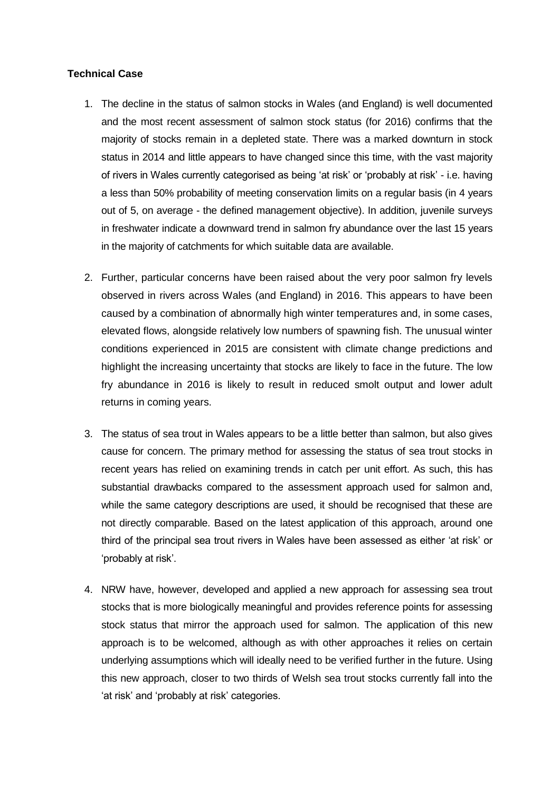## **Technical Case**

- 1. The decline in the status of salmon stocks in Wales (and England) is well documented and the most recent assessment of salmon stock status (for 2016) confirms that the majority of stocks remain in a depleted state. There was a marked downturn in stock status in 2014 and little appears to have changed since this time, with the vast majority of rivers in Wales currently categorised as being 'at risk' or 'probably at risk' - i.e. having a less than 50% probability of meeting conservation limits on a regular basis (in 4 years out of 5, on average - the defined management objective). In addition, juvenile surveys in freshwater indicate a downward trend in salmon fry abundance over the last 15 years in the majority of catchments for which suitable data are available.
- 2. Further, particular concerns have been raised about the very poor salmon fry levels observed in rivers across Wales (and England) in 2016. This appears to have been caused by a combination of abnormally high winter temperatures and, in some cases, elevated flows, alongside relatively low numbers of spawning fish. The unusual winter conditions experienced in 2015 are consistent with climate change predictions and highlight the increasing uncertainty that stocks are likely to face in the future. The low fry abundance in 2016 is likely to result in reduced smolt output and lower adult returns in coming years.
- 3. The status of sea trout in Wales appears to be a little better than salmon, but also gives cause for concern. The primary method for assessing the status of sea trout stocks in recent years has relied on examining trends in catch per unit effort. As such, this has substantial drawbacks compared to the assessment approach used for salmon and, while the same category descriptions are used, it should be recognised that these are not directly comparable. Based on the latest application of this approach, around one third of the principal sea trout rivers in Wales have been assessed as either 'at risk' or 'probably at risk'.
- 4. NRW have, however, developed and applied a new approach for assessing sea trout stocks that is more biologically meaningful and provides reference points for assessing stock status that mirror the approach used for salmon. The application of this new approach is to be welcomed, although as with other approaches it relies on certain underlying assumptions which will ideally need to be verified further in the future. Using this new approach, closer to two thirds of Welsh sea trout stocks currently fall into the 'at risk' and 'probably at risk' categories.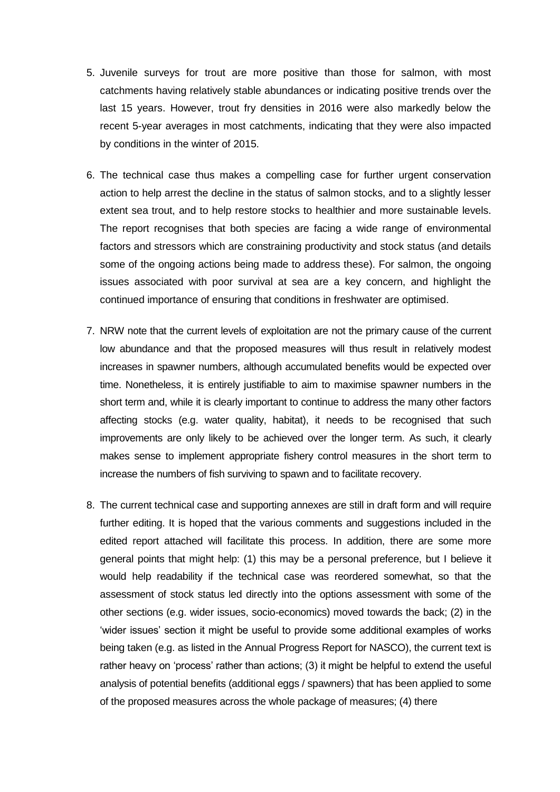- 5. Juvenile surveys for trout are more positive than those for salmon, with most catchments having relatively stable abundances or indicating positive trends over the last 15 years. However, trout fry densities in 2016 were also markedly below the recent 5-year averages in most catchments, indicating that they were also impacted by conditions in the winter of 2015.
- 6. The technical case thus makes a compelling case for further urgent conservation action to help arrest the decline in the status of salmon stocks, and to a slightly lesser extent sea trout, and to help restore stocks to healthier and more sustainable levels. The report recognises that both species are facing a wide range of environmental factors and stressors which are constraining productivity and stock status (and details some of the ongoing actions being made to address these). For salmon, the ongoing issues associated with poor survival at sea are a key concern, and highlight the continued importance of ensuring that conditions in freshwater are optimised.
- 7. NRW note that the current levels of exploitation are not the primary cause of the current low abundance and that the proposed measures will thus result in relatively modest increases in spawner numbers, although accumulated benefits would be expected over time. Nonetheless, it is entirely justifiable to aim to maximise spawner numbers in the short term and, while it is clearly important to continue to address the many other factors affecting stocks (e.g. water quality, habitat), it needs to be recognised that such improvements are only likely to be achieved over the longer term. As such, it clearly makes sense to implement appropriate fishery control measures in the short term to increase the numbers of fish surviving to spawn and to facilitate recovery.
- 8. The current technical case and supporting annexes are still in draft form and will require further editing. It is hoped that the various comments and suggestions included in the edited report attached will facilitate this process. In addition, there are some more general points that might help: (1) this may be a personal preference, but I believe it would help readability if the technical case was reordered somewhat, so that the assessment of stock status led directly into the options assessment with some of the other sections (e.g. wider issues, socio-economics) moved towards the back; (2) in the 'wider issues' section it might be useful to provide some additional examples of works being taken (e.g. as listed in the Annual Progress Report for NASCO), the current text is rather heavy on 'process' rather than actions; (3) it might be helpful to extend the useful analysis of potential benefits (additional eggs / spawners) that has been applied to some of the proposed measures across the whole package of measures; (4) there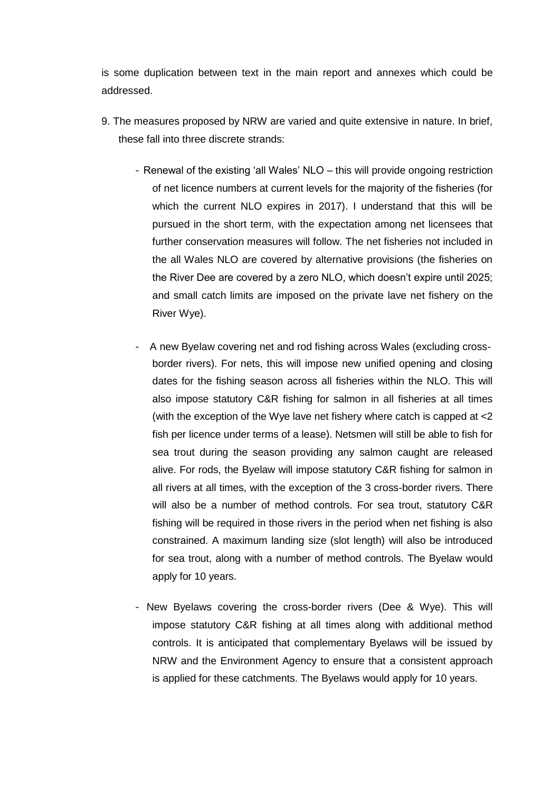is some duplication between text in the main report and annexes which could be addressed.

- 9. The measures proposed by NRW are varied and quite extensive in nature. In brief, these fall into three discrete strands:
	- Renewal of the existing 'all Wales' NLO this will provide ongoing restriction of net licence numbers at current levels for the majority of the fisheries (for which the current NLO expires in 2017). I understand that this will be pursued in the short term, with the expectation among net licensees that further conservation measures will follow. The net fisheries not included in the all Wales NLO are covered by alternative provisions (the fisheries on the River Dee are covered by a zero NLO, which doesn't expire until 2025; and small catch limits are imposed on the private lave net fishery on the River Wye).
	- A new Byelaw covering net and rod fishing across Wales (excluding crossborder rivers). For nets, this will impose new unified opening and closing dates for the fishing season across all fisheries within the NLO. This will also impose statutory C&R fishing for salmon in all fisheries at all times (with the exception of the Wye lave net fishery where catch is capped at <2 fish per licence under terms of a lease). Netsmen will still be able to fish for sea trout during the season providing any salmon caught are released alive. For rods, the Byelaw will impose statutory C&R fishing for salmon in all rivers at all times, with the exception of the 3 cross-border rivers. There will also be a number of method controls. For sea trout, statutory C&R fishing will be required in those rivers in the period when net fishing is also constrained. A maximum landing size (slot length) will also be introduced for sea trout, along with a number of method controls. The Byelaw would apply for 10 years.
	- New Byelaws covering the cross-border rivers (Dee & Wye). This will impose statutory C&R fishing at all times along with additional method controls. It is anticipated that complementary Byelaws will be issued by NRW and the Environment Agency to ensure that a consistent approach is applied for these catchments. The Byelaws would apply for 10 years.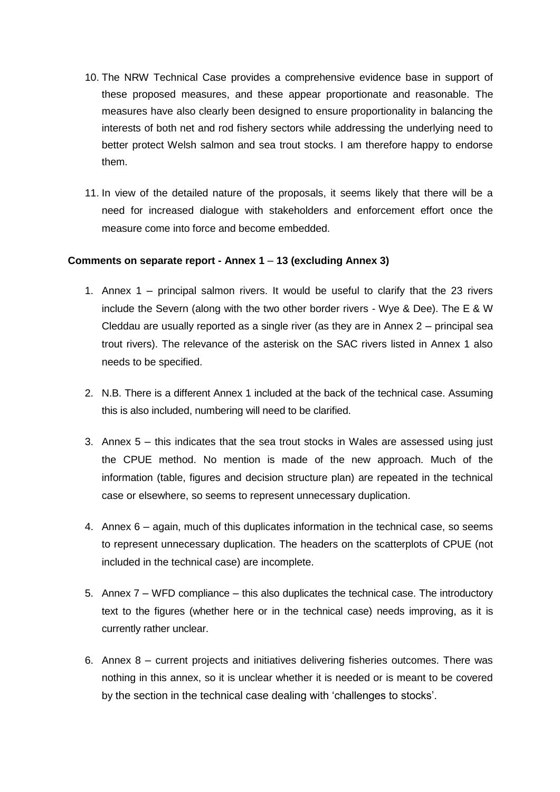- 10. The NRW Technical Case provides a comprehensive evidence base in support of these proposed measures, and these appear proportionate and reasonable. The measures have also clearly been designed to ensure proportionality in balancing the interests of both net and rod fishery sectors while addressing the underlying need to better protect Welsh salmon and sea trout stocks. I am therefore happy to endorse them.
- 11. In view of the detailed nature of the proposals, it seems likely that there will be a need for increased dialogue with stakeholders and enforcement effort once the measure come into force and become embedded.

#### **Comments on separate report - Annex 1** – **13 (excluding Annex 3)**

- 1. Annex 1 principal salmon rivers. It would be useful to clarify that the 23 rivers include the Severn (along with the two other border rivers - Wye & Dee). The E & W Cleddau are usually reported as a single river (as they are in Annex 2 – principal sea trout rivers). The relevance of the asterisk on the SAC rivers listed in Annex 1 also needs to be specified.
- 2. N.B. There is a different Annex 1 included at the back of the technical case. Assuming this is also included, numbering will need to be clarified.
- 3. Annex 5 this indicates that the sea trout stocks in Wales are assessed using just the CPUE method. No mention is made of the new approach. Much of the information (table, figures and decision structure plan) are repeated in the technical case or elsewhere, so seems to represent unnecessary duplication.
- 4. Annex 6 again, much of this duplicates information in the technical case, so seems to represent unnecessary duplication. The headers on the scatterplots of CPUE (not included in the technical case) are incomplete.
- 5. Annex 7 WFD compliance this also duplicates the technical case. The introductory text to the figures (whether here or in the technical case) needs improving, as it is currently rather unclear.
- 6. Annex 8 current projects and initiatives delivering fisheries outcomes. There was nothing in this annex, so it is unclear whether it is needed or is meant to be covered by the section in the technical case dealing with 'challenges to stocks'.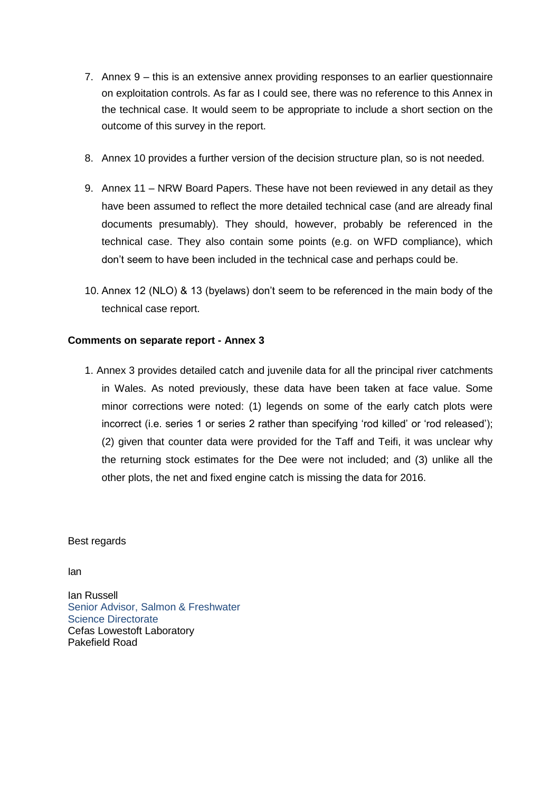- 7. Annex 9 this is an extensive annex providing responses to an earlier questionnaire on exploitation controls. As far as I could see, there was no reference to this Annex in the technical case. It would seem to be appropriate to include a short section on the outcome of this survey in the report.
- 8. Annex 10 provides a further version of the decision structure plan, so is not needed.
- 9. Annex 11 NRW Board Papers. These have not been reviewed in any detail as they have been assumed to reflect the more detailed technical case (and are already final documents presumably). They should, however, probably be referenced in the technical case. They also contain some points (e.g. on WFD compliance), which don't seem to have been included in the technical case and perhaps could be.
- 10. Annex 12 (NLO) & 13 (byelaws) don't seem to be referenced in the main body of the technical case report.

# **Comments on separate report - Annex 3**

1. Annex 3 provides detailed catch and juvenile data for all the principal river catchments in Wales. As noted previously, these data have been taken at face value. Some minor corrections were noted: (1) legends on some of the early catch plots were incorrect (i.e. series 1 or series 2 rather than specifying 'rod killed' or 'rod released'); (2) given that counter data were provided for the Taff and Teifi, it was unclear why the returning stock estimates for the Dee were not included; and (3) unlike all the other plots, the net and fixed engine catch is missing the data for 2016.

### Best regards

Ian

Ian Russell Senior Advisor, Salmon & Freshwater Science Directorate Cefas Lowestoft Laboratory Pakefield Road